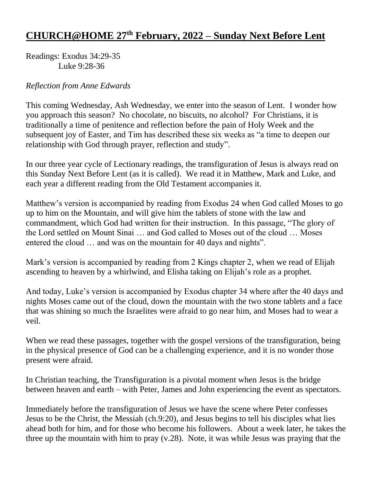## **CHURCH@HOME 27th February, 2022 – Sunday Next Before Lent**

Readings: Exodus 34:29-35 Luke 9:28-36

## *Reflection from Anne Edwards*

This coming Wednesday, Ash Wednesday, we enter into the season of Lent. I wonder how you approach this season? No chocolate, no biscuits, no alcohol? For Christians, it is traditionally a time of penitence and reflection before the pain of Holy Week and the subsequent joy of Easter, and Tim has described these six weeks as "a time to deepen our relationship with God through prayer, reflection and study".

In our three year cycle of Lectionary readings, the transfiguration of Jesus is always read on this Sunday Next Before Lent (as it is called). We read it in Matthew, Mark and Luke, and each year a different reading from the Old Testament accompanies it.

Matthew's version is accompanied by reading from Exodus 24 when God called Moses to go up to him on the Mountain, and will give him the tablets of stone with the law and commandment, which God had written for their instruction. In this passage, "The glory of the Lord settled on Mount Sinai … and God called to Moses out of the cloud … Moses entered the cloud … and was on the mountain for 40 days and nights".

Mark's version is accompanied by reading from 2 Kings chapter 2, when we read of Elijah ascending to heaven by a whirlwind, and Elisha taking on Elijah's role as a prophet.

And today, Luke's version is accompanied by Exodus chapter 34 where after the 40 days and nights Moses came out of the cloud, down the mountain with the two stone tablets and a face that was shining so much the Israelites were afraid to go near him, and Moses had to wear a veil.

When we read these passages, together with the gospel versions of the transfiguration, being in the physical presence of God can be a challenging experience, and it is no wonder those present were afraid.

In Christian teaching, the Transfiguration is a pivotal moment when Jesus is the bridge between heaven and earth – with Peter, James and John experiencing the event as spectators.

Immediately before the transfiguration of Jesus we have the scene where Peter confesses Jesus to be the Christ, the Messiah (ch.9:20), and Jesus begins to tell his disciples what lies ahead both for him, and for those who become his followers. About a week later, he takes the three up the mountain with him to pray (v.28). Note, it was while Jesus was praying that the